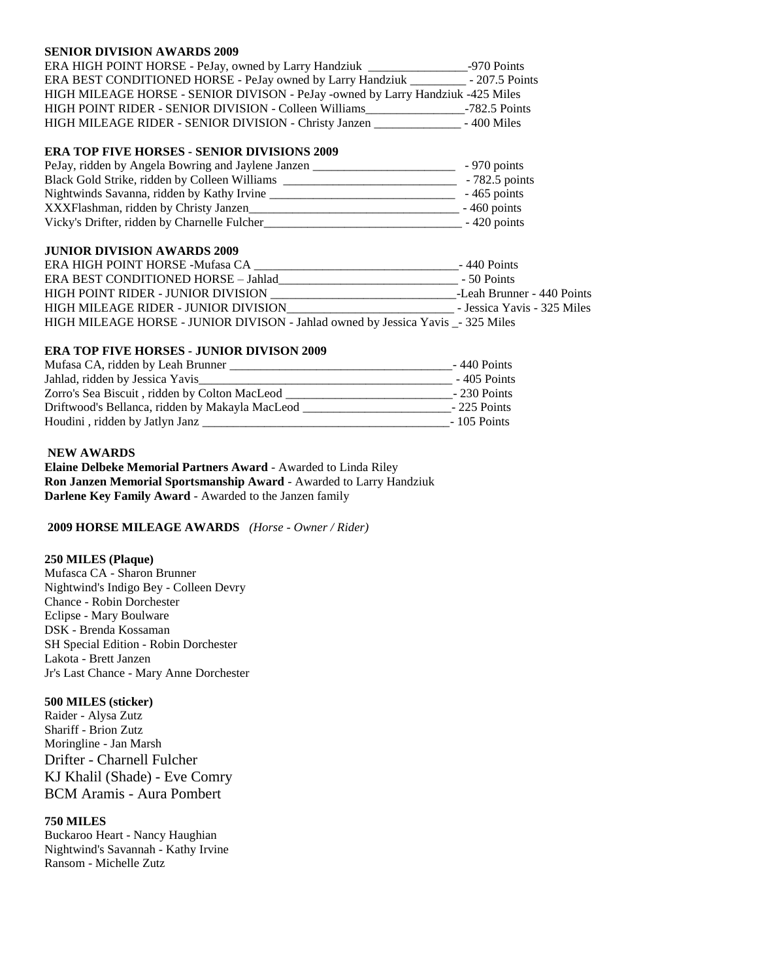#### **SENIOR DIVISION AWARDS 2009**

| ERA HIGH POINT HORSE - PeJay, owned by Larry Handziuk                           | -970 Points     |
|---------------------------------------------------------------------------------|-----------------|
| ERA BEST CONDITIONED HORSE - PeJay owned by Larry Handziuk _                    | $-207.5$ Points |
| HIGH MILEAGE HORSE - SENIOR DIVISON - PeJay -owned by Larry Handziuk -425 Miles |                 |
| HIGH POINT RIDER - SENIOR DIVISION - Colleen Williams                           | $-782.5$ Points |
| HIGH MILEAGE RIDER - SENIOR DIVISION - Christy Janzen                           | $-400$ Miles    |

# **ERA TOP FIVE HORSES - SENIOR DIVISIONS 2009**

| PeJay, ridden by Angela Bowring and Jaylene Janzen | $-970$ points   |
|----------------------------------------------------|-----------------|
| Black Gold Strike, ridden by Colleen Williams      | $-782.5$ points |
| Nightwinds Savanna, ridden by Kathy Irvine         | $-465$ points   |
| XXXFlashman, ridden by Christy Janzen              | $-460$ points   |
| Vicky's Drifter, ridden by Charnelle Fulcher       | $-420$ points   |

#### **JUNIOR DIVISION AWARDS 2009**

| ERA HIGH POINT HORSE -Mufasa CA                                                  | $-440$ Points               |
|----------------------------------------------------------------------------------|-----------------------------|
| ERA BEST CONDITIONED HORSE - Jahlad                                              | - 50 Points                 |
| HIGH POINT RIDER - JUNIOR DIVISION                                               | -Leah Brunner - 440 Points  |
| HIGH MILEAGE RIDER - JUNIOR DIVISION                                             | - Jessica Yavis - 325 Miles |
| HIGH MILEAGE HORSE - JUNIOR DIVISON - Jahlad owned by Jessica Yavis _- 325 Miles |                             |

# **ERA TOP FIVE HORSES - JUNIOR DIVISON 2009**

| Mufasa CA, ridden by Leah Brunner               | $-440$ Points |
|-------------------------------------------------|---------------|
| Jahlad, ridden by Jessica Yavis                 | -405 Points   |
| Zorro's Sea Biscuit, ridden by Colton MacLeod   | $-230$ Points |
| Driftwood's Bellanca, ridden by Makayla MacLeod | $-225$ Points |
| Houdini, ridden by Jatlyn Janz                  | $-105$ Points |

### **NEW AWARDS**

**Elaine Delbeke Memorial Partners Award** - Awarded to Linda Riley **Ron Janzen Memorial Sportsmanship Award** - Awarded to Larry Handziuk **Darlene Key Family Award** - Awarded to the Janzen family

**2009 HORSE MILEAGE AWARDS** *(Horse - Owner / Rider)*

### **250 MILES (Plaque)**

Mufasca CA - Sharon Brunner Nightwind's Indigo Bey - Colleen Devry Chance - Robin Dorchester Eclipse - Mary Boulware DSK - Brenda Kossaman SH Special Edition - Robin Dorchester Lakota - Brett Janzen Jr's Last Chance - Mary Anne Dorchester

## **500 MILES (sticker)**

Raider - Alysa Zutz Shariff - Brion Zutz Moringline - Jan Marsh Drifter - Charnell Fulcher KJ Khalil (Shade) - Eve Comry BCM Aramis - Aura Pombert

# **750 MILES**

Buckaroo Heart - Nancy Haughian Nightwind's Savannah - Kathy Irvine Ransom - Michelle Zutz